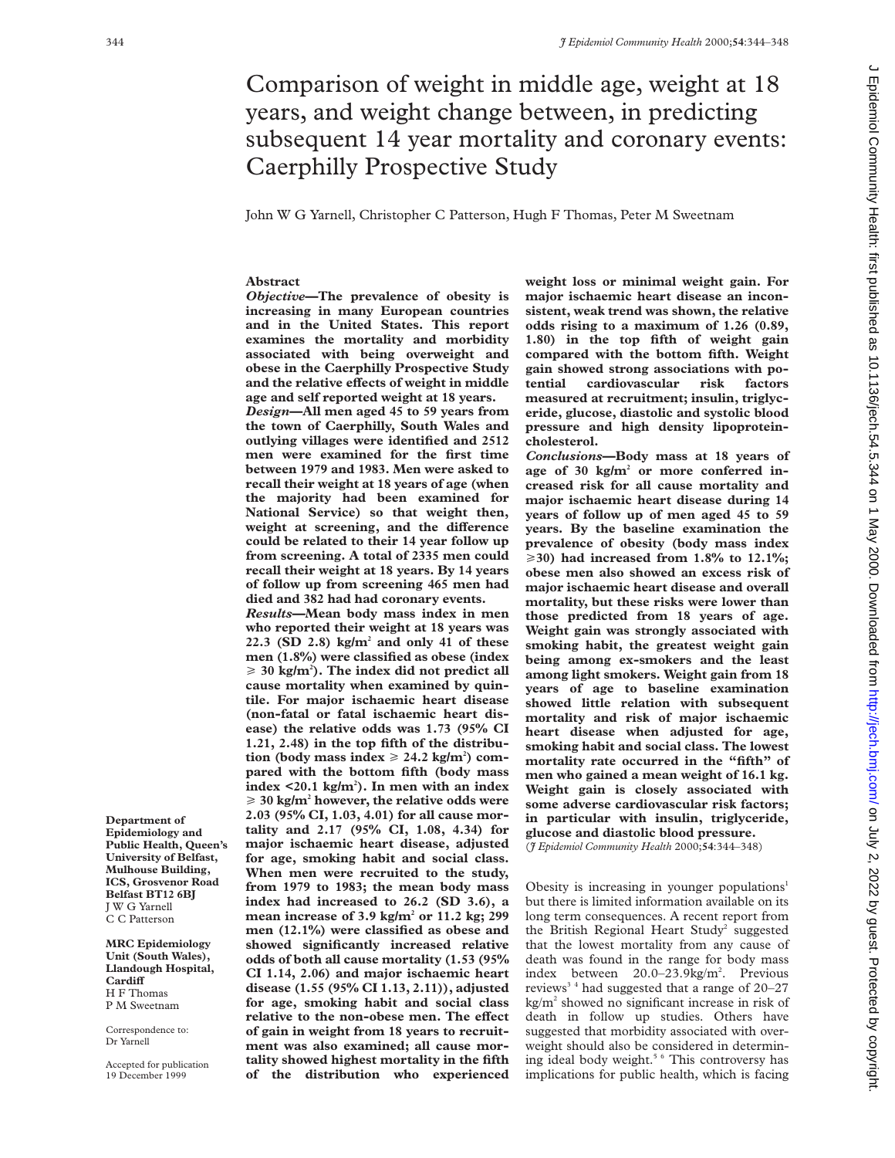# Comparison of weight in middle age, weight at 18 years, and weight change between, in predicting subsequent 14 year mortality and coronary events: Caerphilly Prospective Study

John W G Yarnell, Christopher C Patterson, Hugh F Thomas, Peter M Sweetnam

# **Abstract**

*Objective***—The prevalence of obesity is increasing in many European countries and in the United States. This report examines the mortality and morbidity associated with being overweight and obese in the Caerphilly Prospective Study** and the relative effects of weight in middle **age and self reported weight at 18 years.**

*Design***—All men aged 45 to 59 years from the town of Caerphilly, South Wales and outlying villages were identified and 2512 men were examined for the first time between 1979 and 1983. Men were asked to recall their weight at 18 years of age (when the majority had been examined for National Service) so that weight then,** weight at screening, and the difference **could be related to their 14 year follow up from screening. A total of 2335 men could recall their weight at 18 years. By 14 years of follow up from screening 465 men had died and 382 had had coronary events.**

*Results***—Mean body mass index in men who reported their weight at 18 years was 22.3 (SD 2.8) kg/m2 and only 41 of these men (1.8%) were classified as obese (index**  $\geq 30$  kg/m<sup>2</sup>). The index did not predict all **cause mortality when examined by quintile. For major ischaemic heart disease (non-fatal or fatal ischaemic heart disease) the relative odds was 1.73 (95% CI 1.21, 2.48) in the top fifth of the distribu-** $\text{tion}$  (body mass index  $\geq 24.2 \text{ kg/m}^2$ ) com**pared with the bottom fifth (body mass index <20.1 kg/m2 ). In men with an index** > **30 kg/m2 however, the relative odds were 2.03 (95% CI, 1.03, 4.01) for all cause mortality and 2.17 (95% CI, 1.08, 4.34) for major ischaemic heart disease, adjusted for age, smoking habit and social class. When men were recruited to the study, from 1979 to 1983; the mean body mass index had increased to 26.2 (SD 3.6), a mean increase of 3.9 kg/m2 or 11.2 kg; 299 men (12.1%) were classified as obese and showed significantly increased relative odds of both all cause mortality (1.53 (95% CI 1.14, 2.06) and major ischaemic heart disease (1.55 (95% CI 1.13, 2.11)), adjusted for age, smoking habit and social class relative to the non-obese men. The effect of gain in weight from 18 years to recruitment was also examined; all cause mortality showed highest mortality in the fifth of the distribution who experienced**

**weight loss or minimal weight gain. For major ischaemic heart disease an inconsistent, weak trend was shown, the relative odds rising to a maximum of 1.26 (0.89, 1.80) in the top fifth of weight gain compared with the bottom fifth. Weight gain showed strong associations with potential cardiovascular risk factors measured at recruitment; insulin, triglyceride, glucose, diastolic and systolic blood pressure and high density lipoproteincholesterol.**

*Conclusions***—Body mass at 18 years of age of 30 kg/m2 or more conferred increased risk for all cause mortality and major ischaemic heart disease during 14 years of follow up of men aged 45 to 59 years. By the baseline examination the prevalence of obesity (body mass index** >**30) had increased from 1.8% to 12.1%; obese men also showed an excess risk of major ischaemic heart disease and overall mortality, but these risks were lower than those predicted from 18 years of age. Weight gain was strongly associated with smoking habit, the greatest weight gain being among ex-smokers and the least among light smokers. Weight gain from 18 years of age to baseline examination showed little relation with subsequent mortality and risk of major ischaemic heart disease when adjusted for age, smoking habit and social class. The lowest mortality rate occurred in the "fifth" of men who gained a mean weight of 16.1 kg. Weight gain is closely associated with some adverse cardiovascular risk factors; in particular with insulin, triglyceride, glucose and diastolic blood pressure.** (*J Epidemiol Community Health* 2000;**54**:344–348)

Obesity is increasing in younger populations<sup>1</sup> but there is limited information available on its long term consequences. A recent report from the British Regional Heart Study<sup>2</sup> suggested that the lowest mortality from any cause of death was found in the range for body mass index between 20.0–23.9kg/m<sup>2</sup>. Previous reviews<sup>34</sup> had suggested that a range of  $20-27$ kg/m2 showed no significant increase in risk of death in follow up studies. Others have suggested that morbidity associated with overweight should also be considered in determining ideal body weight.<sup>5 6</sup> This controversy has implications for public health, which is facing

**Department of Epidemiology and Public Health, Queen's University of Belfast, Mulhouse Building, ICS, Grosvenor Road Belfast BT12 6BJ** J W G Yarnell C C Patterson

**MRC Epidemiology Unit (South Wales), Llandough Hospital,** Cardi**ff** H F Thomas P M Sweetnam

Correspondence to: Dr Yarnell

Accepted for publication 19 December 1999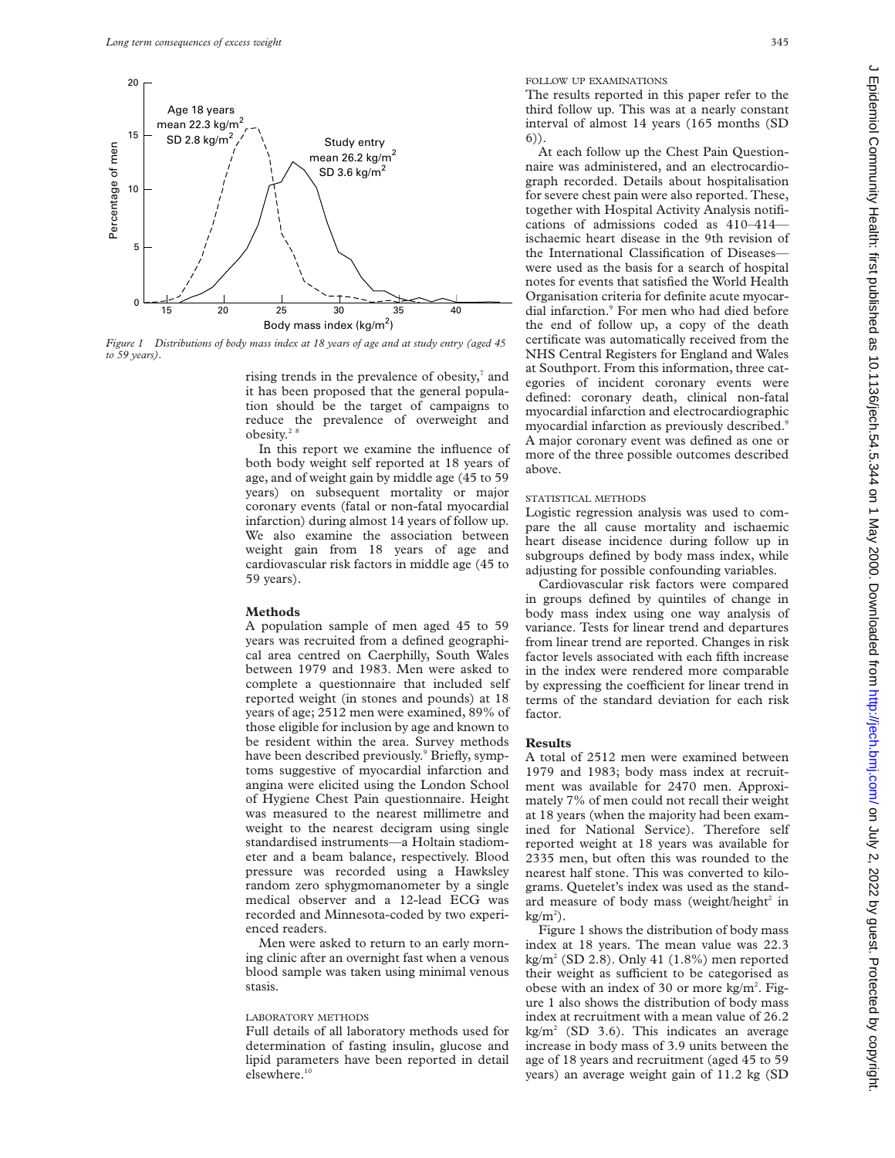

*Figure 1 Distributions of body mass index at 18 years of age and at study entry (aged 45 to 59 years).*

rising trends in the prevalence of obesity,<sup>7</sup> and it has been proposed that the general population should be the target of campaigns to reduce the prevalence of overweight and obesity. $2^8$ 

In this report we examine the influence of both body weight self reported at 18 years of age, and of weight gain by middle age (45 to 59 years) on subsequent mortality or major coronary events (fatal or non-fatal myocardial infarction) during almost 14 years of follow up. We also examine the association between weight gain from 18 years of age and cardiovascular risk factors in middle age (45 to 59 years).

## **Methods**

A population sample of men aged 45 to 59 years was recruited from a defined geographical area centred on Caerphilly, South Wales between 1979 and 1983. Men were asked to complete a questionnaire that included self reported weight (in stones and pounds) at 18 years of age; 2512 men were examined, 89% of those eligible for inclusion by age and known to be resident within the area. Survey methods have been described previously.<sup>9</sup> Briefly, symptoms suggestive of myocardial infarction and angina were elicited using the London School of Hygiene Chest Pain questionnaire. Height was measured to the nearest millimetre and weight to the nearest decigram using single standardised instruments—a Holtain stadiometer and a beam balance, respectively. Blood pressure was recorded using a Hawksley random zero sphygmomanometer by a single medical observer and a 12-lead ECG was recorded and Minnesota-coded by two experienced readers.

Men were asked to return to an early morning clinic after an overnight fast when a venous blood sample was taken using minimal venous stasis.

## LABORATORY METHODS

Full details of all laboratory methods used for determination of fasting insulin, glucose and lipid parameters have been reported in detail elsewhere.<sup>10</sup>

FOLLOW UP EXAMINATIONS

The results reported in this paper refer to the third follow up. This was at a nearly constant interval of almost 14 years (165 months (SD 6)).

At each follow up the Chest Pain Questionnaire was administered, and an electrocardiograph recorded. Details about hospitalisation for severe chest pain were also reported. These, together with Hospital Activity Analysis notifications of admissions coded as 410–414 ischaemic heart disease in the 9th revision of the International Classification of Diseases were used as the basis for a search of hospital notes for events that satisfied the World Health Organisation criteria for definite acute myocardial infarction.<sup>9</sup> For men who had died before the end of follow up, a copy of the death certificate was automatically received from the NHS Central Registers for England and Wales at Southport. From this information, three categories of incident coronary events were defined: coronary death, clinical non-fatal myocardial infarction and electrocardiographic myocardial infarction as previously described.<sup>9</sup> A major coronary event was defined as one or more of the three possible outcomes described above.

# STATISTICAL METHODS

Logistic regression analysis was used to compare the all cause mortality and ischaemic heart disease incidence during follow up in subgroups defined by body mass index, while adjusting for possible confounding variables.

Cardiovascular risk factors were compared in groups defined by quintiles of change in body mass index using one way analysis of variance. Tests for linear trend and departures from linear trend are reported. Changes in risk factor levels associated with each fifth increase in the index were rendered more comparable by expressing the coefficient for linear trend in terms of the standard deviation for each risk factor.

#### **Results**

A total of 2512 men were examined between 1979 and 1983; body mass index at recruitment was available for 2470 men. Approximately 7% of men could not recall their weight at 18 years (when the majority had been examined for National Service). Therefore self reported weight at 18 years was available for 2335 men, but often this was rounded to the nearest half stone. This was converted to kilograms. Quetelet's index was used as the standard measure of body mass (weight/height $^2$  in  $kg/m<sup>2</sup>$ ).

Figure 1 shows the distribution of body mass index at 18 years. The mean value was 22.3  $kg/m^{2}$  (SD 2.8). Only 41 (1.8%) men reported their weight as sufficient to be categorised as obese with an index of 30 or more kg/m<sup>2</sup>. Figure 1 also shows the distribution of body mass index at recruitment with a mean value of 26.2  $kg/m<sup>2</sup>$  (SD 3.6). This indicates an average increase in body mass of 3.9 units between the age of 18 years and recruitment (aged 45 to 59 years) an average weight gain of 11.2 kg (SD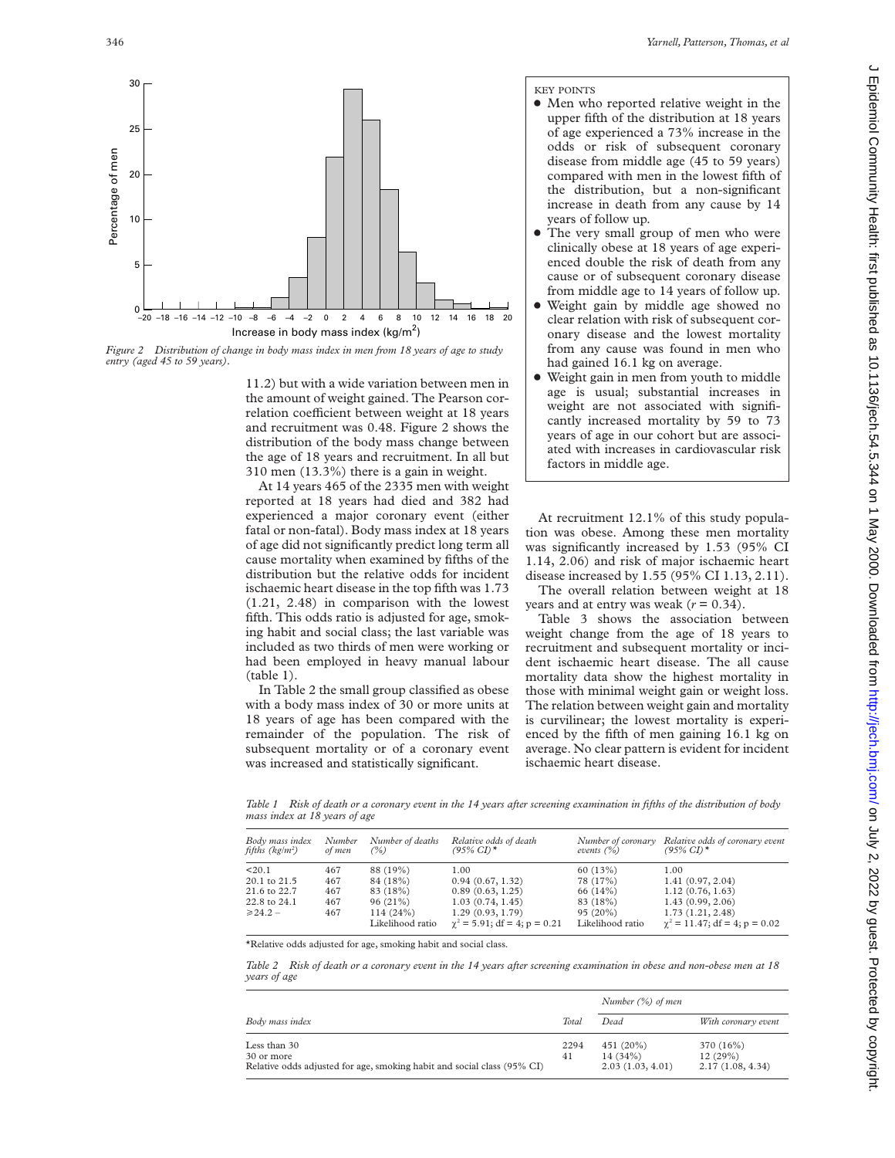

*Figure 2 Distribution of change in body mass index in men from 18 years of age to study entry (aged 45 to 59 years).*

11.2) but with a wide variation between men in the amount of weight gained. The Pearson correlation coefficient between weight at 18 years and recruitment was 0.48. Figure 2 shows the distribution of the body mass change between the age of 18 years and recruitment. In all but 310 men (13.3%) there is a gain in weight.

At 14 years 465 of the 2335 men with weight reported at 18 years had died and 382 had experienced a major coronary event (either fatal or non-fatal). Body mass index at 18 years of age did not significantly predict long term all cause mortality when examined by fifths of the distribution but the relative odds for incident ischaemic heart disease in the top fifth was 1.73 (1.21, 2.48) in comparison with the lowest fifth. This odds ratio is adjusted for age, smoking habit and social class; the last variable was included as two thirds of men were working or had been employed in heavy manual labour (table 1).

In Table 2 the small group classified as obese with a body mass index of 30 or more units at 18 years of age has been compared with the remainder of the population. The risk of subsequent mortality or of a coronary event was increased and statistically significant.

# KEY POINTS

- Men who reported relative weight in the upper fifth of the distribution at 18 years of age experienced a 73% increase in the odds or risk of subsequent coronary disease from middle age (45 to 59 years) compared with men in the lowest fifth of the distribution, but a non-significant increase in death from any cause by 14 years of follow up.
- The very small group of men who were clinically obese at 18 years of age experienced double the risk of death from any cause or of subsequent coronary disease from middle age to 14 years of follow up.
- Weight gain by middle age showed no clear relation with risk of subsequent coronary disease and the lowest mortality from any cause was found in men who had gained 16.1 kg on average.
- x Weight gain in men from youth to middle age is usual; substantial increases in weight are not associated with significantly increased mortality by 59 to 73 years of age in our cohort but are associated with increases in cardiovascular risk factors in middle age.

At recruitment 12.1% of this study population was obese. Among these men mortality was significantly increased by 1.53 (95% CI 1.14, 2.06) and risk of major ischaemic heart disease increased by 1.55 (95% CI 1.13, 2.11).

The overall relation between weight at 18 years and at entry was weak  $(r = 0.34)$ .

Table 3 shows the association between weight change from the age of 18 years to recruitment and subsequent mortality or incident ischaemic heart disease. The all cause mortality data show the highest mortality in those with minimal weight gain or weight loss. The relation between weight gain and mortality is curvilinear; the lowest mortality is experienced by the fifth of men gaining 16.1 kg on average. No clear pattern is evident for incident ischaemic heart disease.

*Table 1 Risk of death or a coronary event in the 14 years after screening examination in fifths of the distribution of body mass index at 18 years of age*

| Body mass index<br>fifths ( $kg/m^2$ ) | Number<br>of men | Number of deaths<br>(%)      | Relative odds of death<br>$(95\% \text{ CI})$ *          | Number of coronary<br>events $(\%)$ | Relative odds of coronary event<br>$(95\% \text{ CI})$ *  |
|----------------------------------------|------------------|------------------------------|----------------------------------------------------------|-------------------------------------|-----------------------------------------------------------|
| $20.1$                                 | 467              | 88 (19%)                     | 1.00                                                     | 60(13%)                             | 1.00                                                      |
| 20.1 to 21.5                           | 467              | 84 (18%)                     | 0.94(0.67, 1.32)                                         | 78 (17%)                            | 1.41(0.97, 2.04)                                          |
| 21.6 to 22.7                           | 467              | 83 (18%)                     | 0.89(0.63, 1.25)                                         | 66 (14%)                            | 1.12(0.76, 1.63)                                          |
| 22.8 to 24.1                           | 467              | $96(21\%)$                   | 1.03(0.74, 1.45)                                         | 83 (18%)                            | 1.43(0.99, 2.06)                                          |
| $\geq 24.2 -$                          | 467              | 114(24%)<br>Likelihood ratio | 1.29(0.93, 1.79)<br>$\gamma^2 = 5.91$ ; df = 4; p = 0.21 | $95(20\%)$<br>Likelihood ratio      | 1.73(1.21, 2.48)<br>$\gamma^2 = 11.47$ ; df = 4; p = 0.02 |

\*Relative odds adjusted for age, smoking habit and social class.

*Table 2 Risk of death or a coronary event in the 14 years after screening examination in obese and non-obese men at 18 years of age*

|                                                                                                       |            | Number $(\%)$ of men                        |                                          |  |
|-------------------------------------------------------------------------------------------------------|------------|---------------------------------------------|------------------------------------------|--|
| Body mass index                                                                                       | Total      | Dead                                        | With coronary event                      |  |
| Less than 30<br>30 or more<br>Relative odds adjusted for age, smoking habit and social class (95% CI) | 2294<br>41 | 451 (20%)<br>$14(34\%)$<br>2.03(1.03, 4.01) | 370 (16%)<br>12(29%)<br>2.17(1.08, 4.34) |  |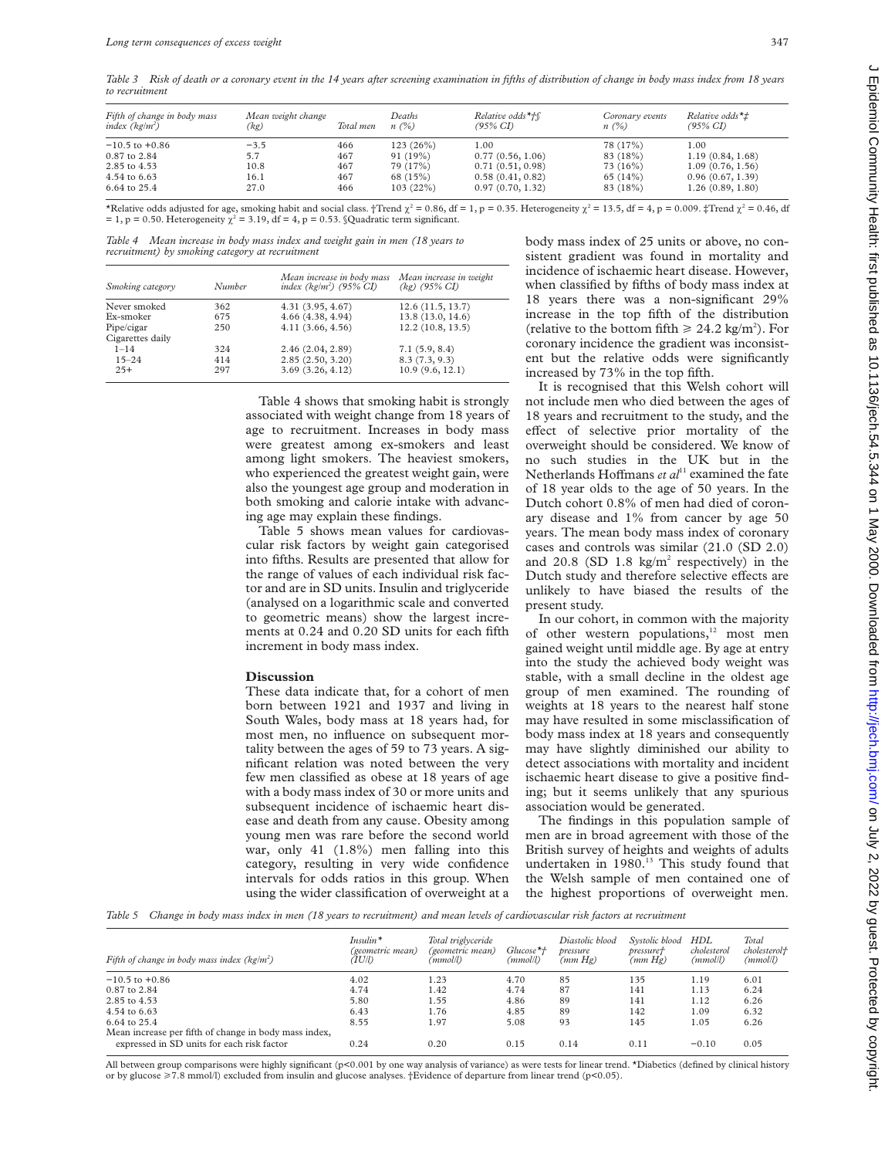*Table 3 Risk of death or a coronary event in the 14 years after screening examination in fifths of distribution of change in body mass index from 18 years to recruitment*

| Fifth of change in body mass<br>index $(kg/m^2)$ | Mean weight change<br>(kg) | Total men | Deaths<br>$n(\%)$ | Relative odds*†∫<br>$(95\% \, CI)$ | Coronary events<br>n(%) | Relative odds $*_\pm$<br>$(95\% \text{ CI})$ |
|--------------------------------------------------|----------------------------|-----------|-------------------|------------------------------------|-------------------------|----------------------------------------------|
| $-10.5$ to $+0.86$                               | $-3.5$                     | 466       | 123(26%)          | 1.00                               | 78 (17%)                | 1.00                                         |
| 0.87 to 2.84                                     | 5.7                        | 467       | 91(19%)           | 0.77(0.56, 1.06)                   | 83 (18%)                | 1.19(0.84, 1.68)                             |
| 2.85 to 4.53                                     | 10.8                       | 467       | 79 (17%)          | 0.71(0.51, 0.98)                   | 73 (16%)                | 1.09 (0.76, 1.56)                            |
| 4.54 to 6.63                                     | 16.1                       | 467       | 68(15%)           | 0.58(0.41, 0.82)                   | 65(14%)                 | 0.96(0.67, 1.39)                             |
| 6.64 to 25.4                                     | 27.0                       | 466       | 103(22%)          | 0.97(0.70, 1.32)                   | 83 (18%)                | 1.26 (0.89, 1.80)                            |

\*Relative odds adjusted for age, smoking habit and social class. †Trend  $\chi^2 = 0.86$ , df = 1, p = 0.35. Heterogeneity  $\chi^2 = 13.5$ , df = 4, p = 0.009. ‡Trend  $\chi^2 = 0.46$ , df = 1, p = 0.50. Heterogeneity  $\chi^2$  = 3.19, df = 4, p = 0.53. §Quadratic term significant.

*Table 4 Mean increase in body mass index and weight gain in men (18 years to recruitment) by smoking category at recruitment*

| Smoking category | Number | Mean increase in body mass<br>index $(kg/m^2)$ (95% CI) | Mean increase in weight<br>$(kg)$ (95% CI) |
|------------------|--------|---------------------------------------------------------|--------------------------------------------|
| Never smoked     | 362    | 4.31(3.95, 4.67)                                        | 12.6(11.5, 13.7)                           |
| Ex-smoker        | 675    | 4.66(4.38, 4.94)                                        | 13.8 (13.0, 14.6)                          |
| Pipe/cigar       | 250    | 4.11(3.66, 4.56)                                        | 12.2(10.8, 13.5)                           |
| Cigarettes daily |        |                                                         |                                            |
| $1 - 14$         | 324    | 2.46(2.04, 2.89)                                        | 7.1(5.9, 8.4)                              |
| $15 - 24$        | 414    | 2.85(2.50, 3.20)                                        | 8.3(7.3, 9.3)                              |
| $25+$            | 297    | 3.69(3.26, 4.12)                                        | 10.9(9.6, 12.1)                            |

Table 4 shows that smoking habit is strongly associated with weight change from 18 years of age to recruitment. Increases in body mass were greatest among ex-smokers and least among light smokers. The heaviest smokers, who experienced the greatest weight gain, were also the youngest age group and moderation in both smoking and calorie intake with advancing age may explain these findings.

Table 5 shows mean values for cardiovascular risk factors by weight gain categorised into fifths. Results are presented that allow for the range of values of each individual risk factor and are in SD units. Insulin and triglyceride (analysed on a logarithmic scale and converted to geometric means) show the largest increments at 0.24 and 0.20 SD units for each fifth increment in body mass index.

# **Discussion**

These data indicate that, for a cohort of men born between 1921 and 1937 and living in South Wales, body mass at 18 years had, for most men, no influence on subsequent mortality between the ages of 59 to 73 years. A significant relation was noted between the very few men classified as obese at 18 years of age with a body mass index of 30 or more units and subsequent incidence of ischaemic heart disease and death from any cause. Obesity among young men was rare before the second world war, only 41 (1.8%) men falling into this category, resulting in very wide confidence intervals for odds ratios in this group. When using the wider classification of overweight at a

body mass index of 25 units or above, no consistent gradient was found in mortality and incidence of ischaemic heart disease. However, when classified by fifths of body mass index at 18 years there was a non-significant 29% increase in the top fifth of the distribution (relative to the bottom fifth  $\geq 24.2$  kg/m<sup>2</sup>). For coronary incidence the gradient was inconsistent but the relative odds were significantly increased by 73% in the top fifth.

It is recognised that this Welsh cohort will not include men who died between the ages of 18 years and recruitment to the study, and the effect of selective prior mortality of the overweight should be considered. We know of no such studies in the UK but in the Netherlands Hoffmans *et al*<sup>11</sup> examined the fate of 18 year olds to the age of 50 years. In the Dutch cohort 0.8% of men had died of coronary disease and 1% from cancer by age 50 years. The mean body mass index of coronary cases and controls was similar (21.0 (SD 2.0) and 20.8 (SD  $1.8 \text{ kg/m}^2$  respectively) in the Dutch study and therefore selective effects are unlikely to have biased the results of the present study.

In our cohort, in common with the majority of other western populations,<sup>12</sup> most men gained weight until middle age. By age at entry into the study the achieved body weight was stable, with a small decline in the oldest age group of men examined. The rounding of weights at 18 years to the nearest half stone may have resulted in some misclassification of body mass index at 18 years and consequently may have slightly diminished our ability to detect associations with mortality and incident ischaemic heart disease to give a positive finding; but it seems unlikely that any spurious association would be generated.

The findings in this population sample of men are in broad agreement with those of the British survey of heights and weights of adults undertaken in 1980.<sup>13</sup> This study found that the Welsh sample of men contained one of the highest proportions of overweight men.

*Table 5 Change in body mass index in men (18 years to recruitment) and mean levels of cardiovascular risk factors at recruitment*

| Fifth of change in body mass index $(kg/m^2)$         | $Insulin^*$<br>(geometric mean)<br>(UU) | Total triglyceride<br>(geometric mean)<br>(mmol/l) | $Glucose*+$<br>(mmol/l) | Diastolic blood<br>pressure<br>(mm Hg) | Systolic blood<br>pressuret<br>(mm Hg) | <b>HDL</b><br>cholesterol<br>(mmol/l) | Total<br>cholesterol+<br>(mmol/l) |
|-------------------------------------------------------|-----------------------------------------|----------------------------------------------------|-------------------------|----------------------------------------|----------------------------------------|---------------------------------------|-----------------------------------|
| $-10.5$ to $+0.86$                                    | 4.02                                    | 1.23                                               | 4.70                    | 85                                     | 135                                    | 1.19                                  | 6.01                              |
| 0.87 to 2.84                                          | 4.74                                    | 1.42                                               | 4.74                    | 87                                     | 141                                    | 1.13                                  | 6.24                              |
| 2.85 to 4.53                                          | 5.80                                    | 1.55                                               | 4.86                    | 89                                     | 141                                    | 1.12                                  | 6.26                              |
| 4.54 to 6.63                                          | 6.43                                    | 1.76                                               | 4.85                    | 89                                     | 142                                    | 1.09                                  | 6.32                              |
| 6.64 to 25.4                                          | 8.55                                    | 1.97                                               | 5.08                    | 93                                     | 145                                    | 1.05                                  | 6.26                              |
| Mean increase per fifth of change in body mass index, |                                         |                                                    |                         |                                        |                                        |                                       |                                   |
| expressed in SD units for each risk factor            | 0.24                                    | 0.20                                               | 0.15                    | 0.14                                   | 0.11                                   | $-0.10$                               | 0.05                              |

All between group comparisons were highly significant ( $p<0.001$  by one way analysis of variance) as were tests for linear trend. \*Diabetics (defined by clinical history or by glucose  $\geq 7.8$  mmol/l) excluded from insulin and glucose analyses. †Evidence of departure from linear trend (p<0.05).